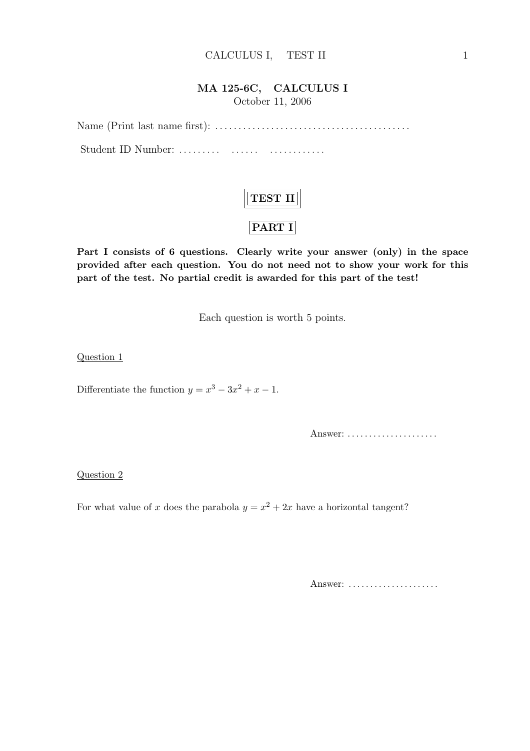## MA 125-6C, CALCULUS I

October 11, 2006

Name (Print last name first): . . . . . . . . . . . . . . . . . . . . . . . . . . . . . . . . . . . . . . . . . . Student ID Number: . . . . . . . . . . . . . . . . . . . . . . . . . . .



Part I consists of 6 questions. Clearly write your answer (only) in the space provided after each question. You do not need not to show your work for this part of the test. No partial credit is awarded for this part of the test!

Each question is worth 5 points.

Question 1

Differentiate the function  $y = x^3 - 3x^2 + x - 1$ .

Answer: . . . . . . . . . . . . . . . . . . . . .

Question 2

For what value of x does the parabola  $y = x^2 + 2x$  have a horizontal tangent?

Answer: .....................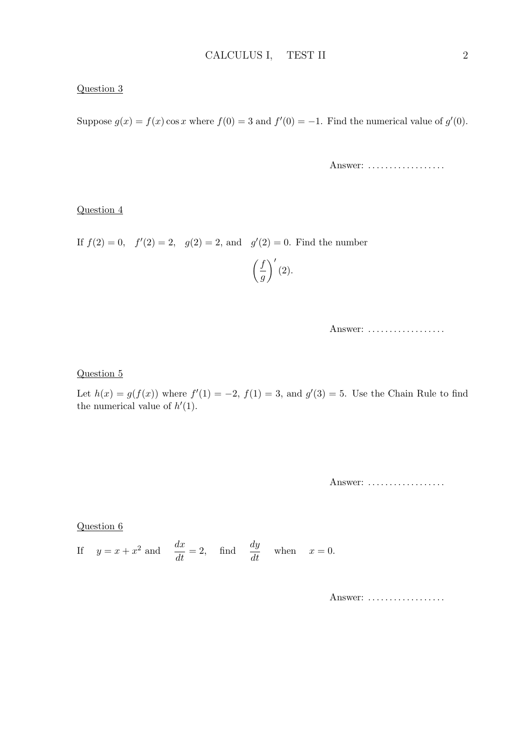### Question 3

Suppose  $g(x) = f(x) \cos x$  where  $f(0) = 3$  and  $f'(0) = -1$ . Find the numerical value of  $g'(0)$ .

Answer: ..................

### Question 4

If  $f(2) = 0$ ,  $f'(2) = 2$ ,  $g(2) = 2$ , and  $g'(2) = 0$ . Find the number

$$
\left(\frac{f}{g}\right)'(2).
$$

Answer: ..................

#### Question 5

Let  $h(x) = g(f(x))$  where  $f'(1) = -2$ ,  $f(1) = 3$ , and  $g'(3) = 5$ . Use the Chain Rule to find the numerical value of  $h'(1)$ .

Answer: ..................

### Question 6

If  $y = x + x^2$  and  $\frac{dx}{dt} = 2$ , find  $\frac{dy}{dt}$  when  $x = 0$ .

Answer: ..................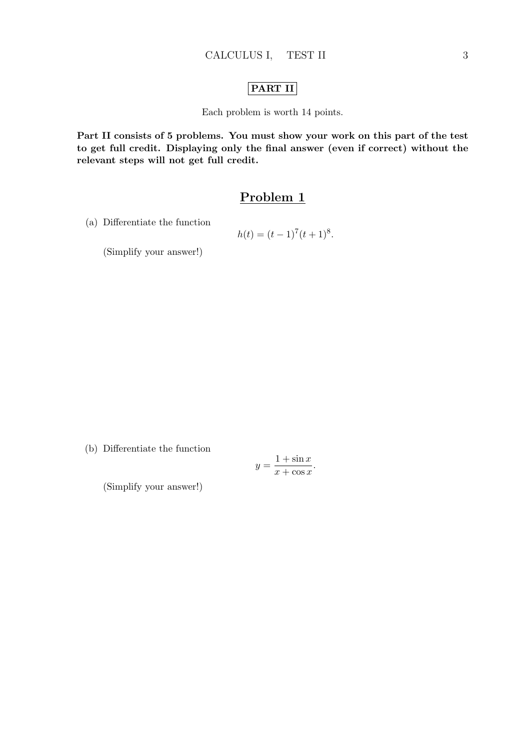### PART II

Each problem is worth 14 points.

Part II consists of 5 problems. You must show your work on this part of the test to get full credit. Displaying only the final answer (even if correct) without the relevant steps will not get full credit.

## Problem 1

(a) Differentiate the function

$$
h(t) = (t-1)^7(t+1)^8.
$$

(Simplify your answer!)

(b) Differentiate the function

$$
y = \frac{1 + \sin x}{x + \cos x}.
$$

(Simplify your answer!)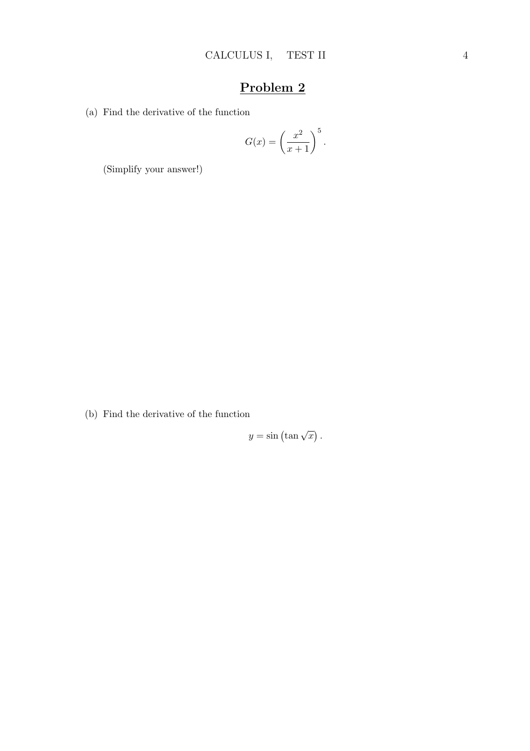(a) Find the derivative of the function

$$
G(x) = \left(\frac{x^2}{x+1}\right)^5.
$$

(Simplify your answer!)

(b) Find the derivative of the function

$$
y = \sin\left(\tan\sqrt{x}\right).
$$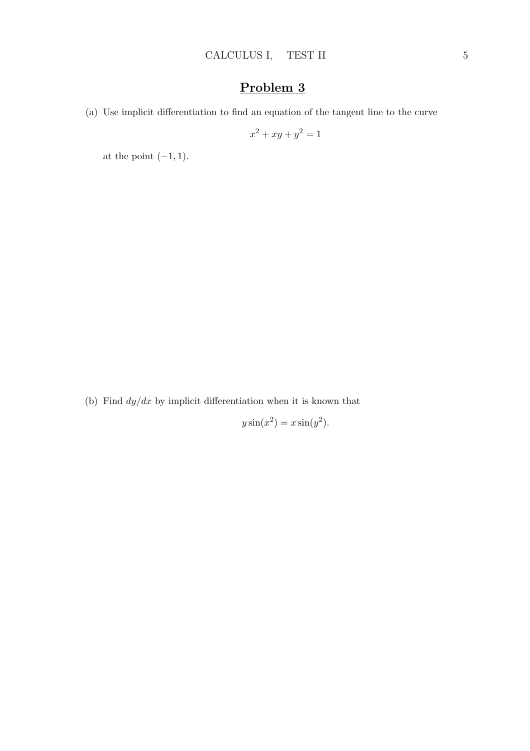(a) Use implicit differentiation to find an equation of the tangent line to the curve

$$
x^2 + xy + y^2 = 1
$$

at the point  $(-1, 1)$ .

(b) Find  $dy/dx$  by implicit differentiation when it is known that

$$
y\sin(x^2) = x\sin(y^2).
$$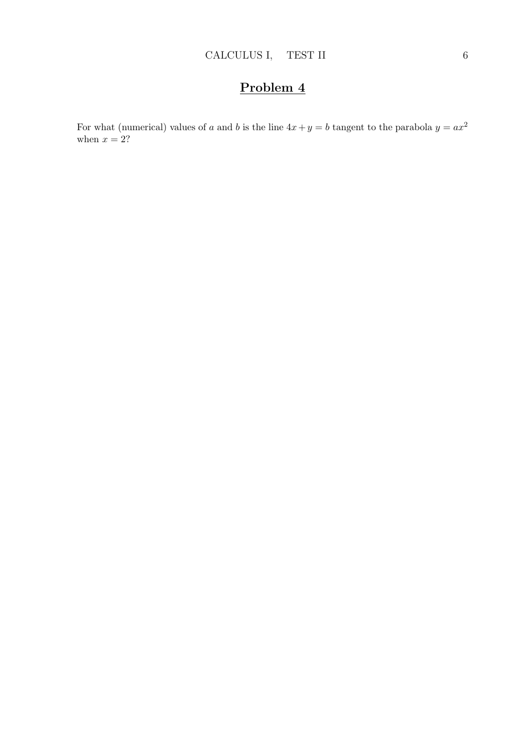For what (numerical) values of a and b is the line  $4x + y = b$  tangent to the parabola  $y = ax^2$ when  $x = 2$ ?